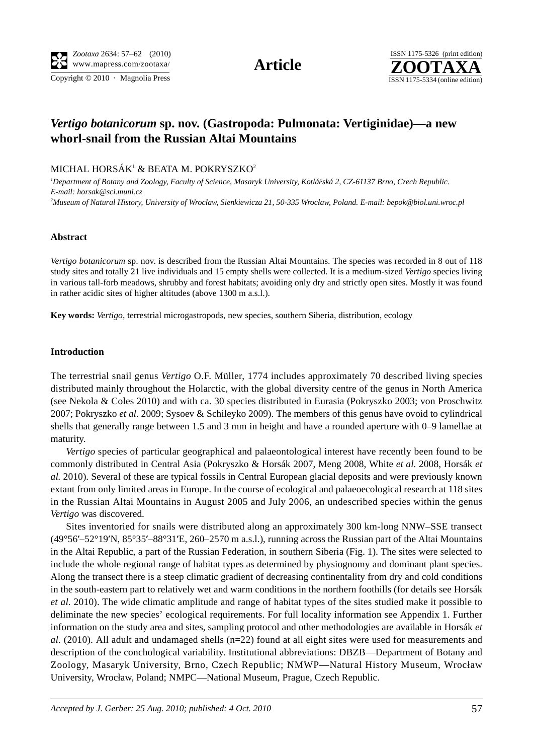Copyright  $© 2010$  · Magnolia Press ISSN 1175-5334 (online edition)



# *Vertigo botanicorum* **sp. nov. (Gastropoda: Pulmonata: Vertiginidae)—a new whorl-snail from the Russian Altai Mountains**

### MICHAL HORSÁK $^{\rm 1}$  & BEATA M. POKRYSZKO $^{\rm 2}$

*1 Department of Botany and Zoology, Faculty of Science, Masaryk University, Kotlá*ř*ská 2, CZ-61137 Brno, Czech Republic. E-mail: horsak@sci.muni.cz 2 Museum of Natural History, University of Wrocław, Sienkiewicza 21, 50-335 Wrocław, Poland. E-mail: bepok@biol.uni.wroc.pl*

### **Abstract**

*Vertigo botanicorum* sp. nov. is described from the Russian Altai Mountains. The species was recorded in 8 out of 118 study sites and totally 21 live individuals and 15 empty shells were collected. It is a medium-sized *Vertigo* species living in various tall-forb meadows, shrubby and forest habitats; avoiding only dry and strictly open sites. Mostly it was found in rather acidic sites of higher altitudes (above 1300 m a.s.l.).

**Key words:** *Vertigo*, terrestrial microgastropods, new species, southern Siberia, distribution, ecology

### **Introduction**

The terrestrial snail genus *Vertigo* O.F. Müller, 1774 includes approximately 70 described living species distributed mainly throughout the Holarctic, with the global diversity centre of the genus in North America (see Nekola & Coles 2010) and with ca. 30 species distributed in Eurasia (Pokryszko 2003; von Proschwitz 2007; Pokryszko *et al.* 2009; Sysoev & Schileyko 2009). The members of this genus have ovoid to cylindrical shells that generally range between 1.5 and 3 mm in height and have a rounded aperture with 0–9 lamellae at maturity.

*Vertigo* species of particular geographical and palaeontological interest have recently been found to be commonly distributed in Central Asia (Pokryszko & Horsák 2007, Meng 2008, White *et al.* 2008, Horsák *et al.* 2010). Several of these are typical fossils in Central European glacial deposits and were previously known extant from only limited areas in Europe. In the course of ecological and palaeoecological research at 118 sites in the Russian Altai Mountains in August 2005 and July 2006, an undescribed species within the genus *Vertigo* was discovered.

Sites inventoried for snails were distributed along an approximately 300 km-long NNW–SSE transect (49°56′–52°19′N, 85°35′–88°31′E, 260–2570 m a.s.l.), running across the Russian part of the Altai Mountains in the Altai Republic, a part of the Russian Federation, in southern Siberia (Fig. 1). The sites were selected to include the whole regional range of habitat types as determined by physiognomy and dominant plant species. Along the transect there is a steep climatic gradient of decreasing continentality from dry and cold conditions in the south-eastern part to relatively wet and warm conditions in the northern foothills (for details see Horsák *et al.* 2010). The wide climatic amplitude and range of habitat types of the sites studied make it possible to deliminate the new species' ecological requirements. For full locality information see Appendix 1. Further information on the study area and sites, sampling protocol and other methodologies are available in Horsák *et al.* (2010). All adult and undamaged shells (n=22) found at all eight sites were used for measurements and description of the conchological variability. Institutional abbreviations: DBZB—Department of Botany and Zoology, Masaryk University, Brno, Czech Republic; NMWP—Natural History Museum, Wrocław University, Wrocław, Poland; NMPC—National Museum, Prague, Czech Republic.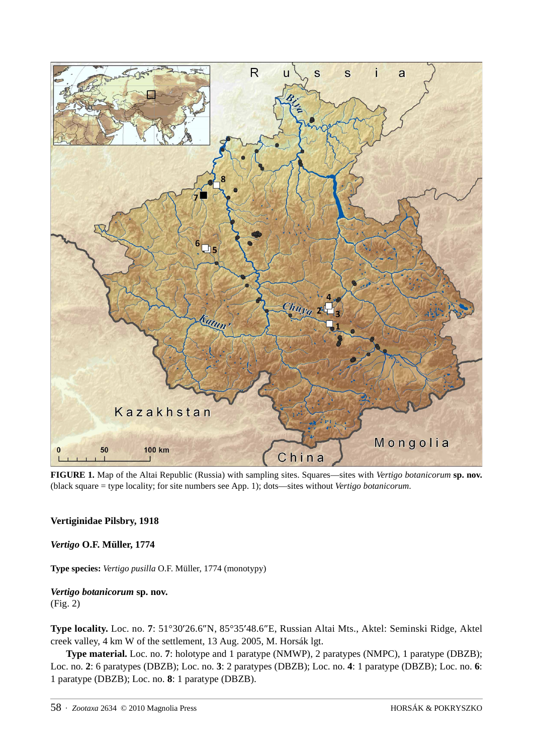

**FIGURE 1.** Map of the Altai Republic (Russia) with sampling sites. Squares—sites with *Vertigo botanicorum* **sp. nov.** (black square = type locality; for site numbers see App. 1); dots—sites without *Vertigo botanicorum*.

## **Vertiginidae Pilsbry, 1918**

*Vertigo* **O.F. Müller, 1774**

**Type species:** *Vertigo pusilla* O.F. Müller, 1774 (monotypy)

### *Vertigo botanicorum* **sp. nov.** (Fig. 2)

**Type locality.** Loc. no. **7**: 51°30′26.6″N, 85°35′48.6″E, Russian Altai Mts., Aktel: Seminski Ridge, Aktel creek valley, 4 km W of the settlement, 13 Aug. 2005, M. Horsák lgt.

**Type material.** Loc. no. **7**: holotype and 1 paratype (NMWP), 2 paratypes (NMPC), 1 paratype (DBZB); Loc. no. **2**: 6 paratypes (DBZB); Loc. no. **3**: 2 paratypes (DBZB); Loc. no. **4**: 1 paratype (DBZB); Loc. no. **6**: 1 paratype (DBZB); Loc. no. **8**: 1 paratype (DBZB).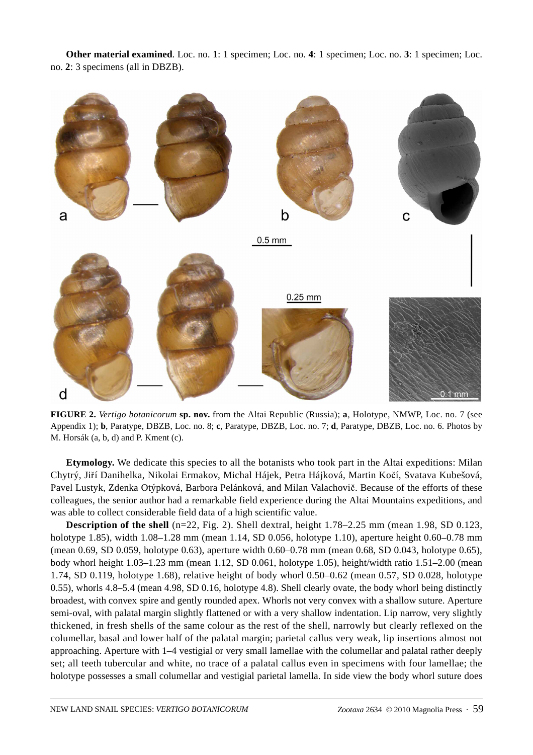**Other material examined***.* Loc. no. **1**: 1 specimen; Loc. no. **4**: 1 specimen; Loc. no. **3**: 1 specimen; Loc. no. **2**: 3 specimens (all in DBZB).



**FIGURE 2.** *Vertigo botanicorum* **sp. nov.** from the Altai Republic (Russia); **a**, Holotype, NMWP, Loc. no. 7 (see Appendix 1); **b**, Paratype, DBZB, Loc. no. 8; **c**, Paratype, DBZB, Loc. no. 7; **d**, Paratype, DBZB, Loc. no. 6. Photos by M. Horsák (a, b, d) and P. Kment (c).

**Etymology.** We dedicate this species to all the botanists who took part in the Altai expeditions: Milan Chytrý, Jiří Danihelka, Nikolai Ermakov, Michal Hájek, Petra Hájková, Martin Kočí, Svatava Kubešová, Pavel Lustyk, Zdenka Otýpková, Barbora Pelánková, and Milan Valachovič. Because of the efforts of these colleagues, the senior author had a remarkable field experience during the Altai Mountains expeditions, and was able to collect considerable field data of a high scientific value.

**Description of the shell** (n=22, Fig. 2). Shell dextral, height 1.78–2.25 mm (mean 1.98, SD 0.123, holotype 1.85), width 1.08–1.28 mm (mean 1.14, SD 0.056, holotype 1.10), aperture height 0.60–0.78 mm (mean 0.69, SD 0.059, holotype 0.63), aperture width 0.60–0.78 mm (mean 0.68, SD 0.043, holotype 0.65), body whorl height 1.03–1.23 mm (mean 1.12, SD 0.061, holotype 1.05), height/width ratio 1.51–2.00 (mean 1.74, SD 0.119, holotype 1.68), relative height of body whorl 0.50–0.62 (mean 0.57, SD 0.028, holotype 0.55), whorls 4.8–5.4 (mean 4.98, SD 0.16, holotype 4.8). Shell clearly ovate, the body whorl being distinctly broadest, with convex spire and gently rounded apex. Whorls not very convex with a shallow suture. Aperture semi-oval, with palatal margin slightly flattened or with a very shallow indentation. Lip narrow, very slightly thickened, in fresh shells of the same colour as the rest of the shell, narrowly but clearly reflexed on the columellar, basal and lower half of the palatal margin; parietal callus very weak, lip insertions almost not approaching. Aperture with 1–4 vestigial or very small lamellae with the columellar and palatal rather deeply set; all teeth tubercular and white, no trace of a palatal callus even in specimens with four lamellae; the holotype possesses a small columellar and vestigial parietal lamella. In side view the body whorl suture does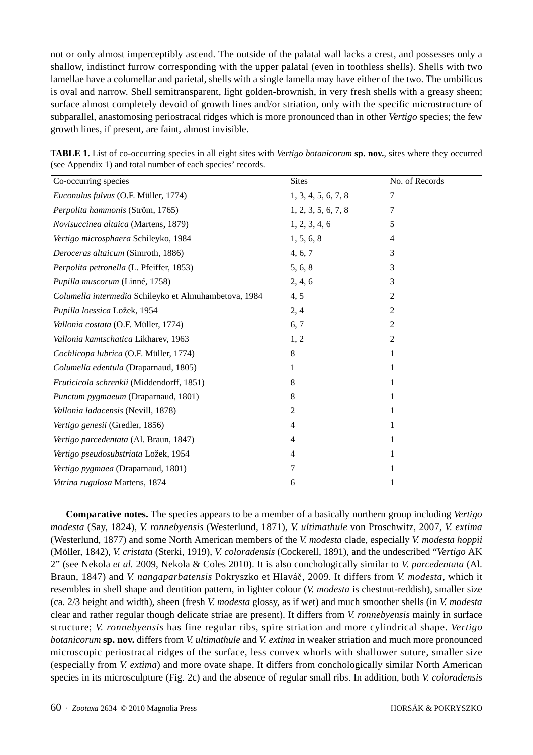not or only almost imperceptibly ascend. The outside of the palatal wall lacks a crest, and possesses only a shallow, indistinct furrow corresponding with the upper palatal (even in toothless shells). Shells with two lamellae have a columellar and parietal, shells with a single lamella may have either of the two. The umbilicus is oval and narrow. Shell semitransparent, light golden-brownish, in very fresh shells with a greasy sheen; surface almost completely devoid of growth lines and/or striation, only with the specific microstructure of subparallel, anastomosing periostracal ridges which is more pronounced than in other *Vertigo* species; the few growth lines, if present, are faint, almost invisible.

| Co-occurring species                                  | <b>Sites</b>        | No. of Records |
|-------------------------------------------------------|---------------------|----------------|
| Euconulus fulvus (O.F. Müller, 1774)                  | 1, 3, 4, 5, 6, 7, 8 | 7              |
| Perpolita hammonis (Ström, 1765)                      | 1, 2, 3, 5, 6, 7, 8 | 7              |
| Novisuccinea altaica (Martens, 1879)                  | 1, 2, 3, 4, 6       | 5              |
| Vertigo microsphaera Schileyko, 1984                  | 1, 5, 6, 8          | 4              |
| Deroceras altaicum (Simroth, 1886)                    | 4, 6, 7             | 3              |
| Perpolita petronella (L. Pfeiffer, 1853)              | 5, 6, 8             | 3              |
| Pupilla muscorum (Linné, 1758)                        | 2, 4, 6             | 3              |
| Columella intermedia Schileyko et Almuhambetova, 1984 | 4, 5                | 2              |
| Pupilla loessica Ložek, 1954                          | 2, 4                | 2              |
| Vallonia costata (O.F. Müller, 1774)                  | 6, 7                | 2              |
| Vallonia kamtschatica Likharev, 1963                  | 1, 2                | 2              |
| Cochlicopa lubrica (O.F. Müller, 1774)                | 8                   |                |
| Columella edentula (Draparnaud, 1805)                 | 1                   |                |
| Fruticicola schrenkii (Middendorff, 1851)             | 8                   |                |
| Punctum pygmaeum (Draparnaud, 1801)                   | 8                   |                |
| Vallonia ladacensis (Nevill, 1878)                    | 2                   |                |
| Vertigo genesii (Gredler, 1856)                       | 4                   |                |
| Vertigo parcedentata (Al. Braun, 1847)                | 4                   |                |
| Vertigo pseudosubstriata Ložek, 1954                  | 4                   |                |
| Vertigo pygmaea (Draparnaud, 1801)                    | 7                   |                |
| Vitrina rugulosa Martens, 1874                        | 6                   |                |

**TABLE 1.** List of co-occurring species in all eight sites with *Vertigo botanicorum* **sp. nov.**, sites where they occurred (see Appendix 1) and total number of each species' records.

**Comparative notes.** The species appears to be a member of a basically northern group including *Vertigo modesta* (Say, 1824), *V. ronnebyensis* (Westerlund, 1871), *V. ultimathule* von Proschwitz, 2007, *V. extima* (Westerlund, 1877) and some North American members of the *V. modesta* clade, especially *V. modesta hoppii* (Möller, 1842), *V. cristata* (Sterki, 1919), *V. coloradensis* (Cockerell, 1891), and the undescribed "*Vertigo* AK 2" (see Nekola *et al.* 2009, Nekola & Coles 2010). It is also conchologically similar to *V. parcedentata* (Al. Braun, 1847) and *V. nangaparbatensis* Pokryszko et Hlaváč, 2009. It differs from *V. modesta*, which it resembles in shell shape and dentition pattern, in lighter colour (*V. modesta* is chestnut-reddish), smaller size (ca. 2/3 height and width), sheen (fresh *V. modesta* glossy, as if wet) and much smoother shells (in *V. modesta* clear and rather regular though delicate striae are present). It differs from *V. ronnebyensis* mainly in surface structure; *V. ronnebyensis* has fine regular ribs, spire striation and more cylindrical shape. *Vertigo botanicorum* **sp. nov.** differs from *V. ultimathule* and *V. extima* in weaker striation and much more pronounced microscopic periostracal ridges of the surface, less convex whorls with shallower suture, smaller size (especially from *V. extima*) and more ovate shape. It differs from conchologically similar North American species in its microsculpture (Fig. 2c) and the absence of regular small ribs. In addition, both *V. coloradensis*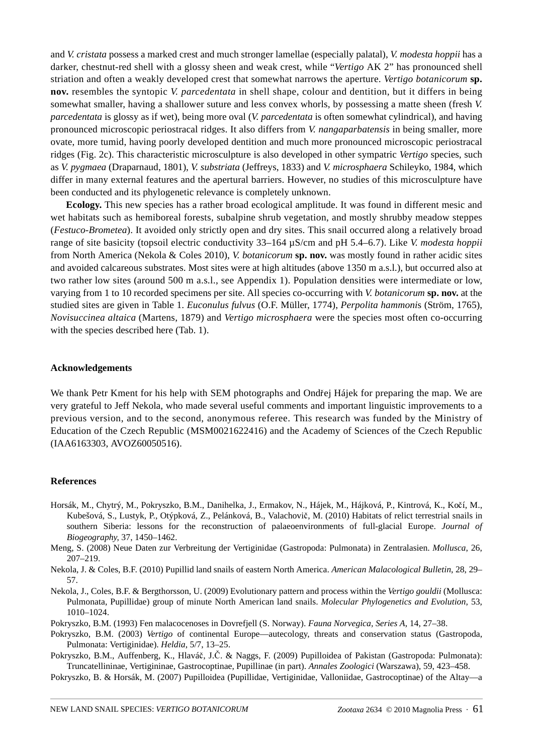and *V. cristata* possess a marked crest and much stronger lamellae (especially palatal), *V. modesta hoppii* has a darker, chestnut-red shell with a glossy sheen and weak crest, while "*Vertigo* AK 2" has pronounced shell striation and often a weakly developed crest that somewhat narrows the aperture. *Vertigo botanicorum* **sp. nov.** resembles the syntopic *V. parcedentata* in shell shape, colour and dentition, but it differs in being somewhat smaller, having a shallower suture and less convex whorls, by possessing a matte sheen (fresh *V. parcedentata* is glossy as if wet), being more oval (*V. parcedentata* is often somewhat cylindrical), and having pronounced microscopic periostracal ridges. It also differs from *V. nangaparbatensis* in being smaller, more ovate, more tumid, having poorly developed dentition and much more pronounced microscopic periostracal ridges (Fig. 2c). This characteristic microsculpture is also developed in other sympatric *Vertigo* species, such as *V. pygmaea* (Draparnaud, 1801), *V. substriata* (Jeffreys, 1833) and *V. microsphaera* Schileyko, 1984, which differ in many external features and the apertural barriers. However, no studies of this microsculpture have been conducted and its phylogenetic relevance is completely unknown.

**Ecology.** This new species has a rather broad ecological amplitude. It was found in different mesic and wet habitats such as hemiboreal forests, subalpine shrub vegetation, and mostly shrubby meadow steppes (*Festuco-Brometea*). It avoided only strictly open and dry sites. This snail occurred along a relatively broad range of site basicity (topsoil electric conductivity 33–164 µS/cm and pH 5.4–6.7). Like *V. modesta hoppii* from North America (Nekola & Coles 2010), *V. botanicorum* **sp. nov.** was mostly found in rather acidic sites and avoided calcareous substrates. Most sites were at high altitudes (above 1350 m a.s.l.), but occurred also at two rather low sites (around 500 m a.s.l., see Appendix 1). Population densities were intermediate or low, varying from 1 to 10 recorded specimens per site. All species co-occurring with *V. botanicorum* **sp. nov.** at the studied sites are given in Table 1. *Euconulus fulvus* (O.F. Müller, 1774), *Perpolita hammoni*s (Ström, 1765), *Novisuccinea altaica* (Martens, 1879) and *Vertigo microsphaera* were the species most often co-occurring with the species described here (Tab. 1).

#### **Acknowledgements**

We thank Petr Kment for his help with SEM photographs and Ondřej Hájek for preparing the map. We are very grateful to Jeff Nekola, who made several useful comments and important linguistic improvements to a previous version, and to the second, anonymous referee. This research was funded by the Ministry of Education of the Czech Republic (MSM0021622416) and the Academy of Sciences of the Czech Republic (IAA6163303, AVOZ60050516).

#### **References**

- Horsák, M., Chytrý, M., Pokryszko, B.M., Danihelka, J., Ermakov, N., Hájek, M., Hájková, P., Kintrová, K., Kočí, M., Kubešová, S., Lustyk, P., Otýpková, Z., Pelánková, B., Valachovič, M. (2010) Habitats of relict terrestrial snails in southern Siberia: lessons for the reconstruction of palaeoenvironments of full-glacial Europe. *Journal of Biogeography*, 37, 1450–1462.
- Meng, S. (2008) Neue Daten zur Verbreitung der Vertiginidae (Gastropoda: Pulmonata) in Zentralasien. *Mollusca*, 26, 207–219.
- Nekola, J. & Coles, B.F. (2010) Pupillid land snails of eastern North America. *American Malacological Bulletin*, 28, 29– 57.
- Nekola, J., Coles, B.F. & Bergthorsson, U. (2009) Evolutionary pattern and process within the *Vertigo gouldii* (Mollusca: Pulmonata, Pupillidae) group of minute North American land snails. *Molecular Phylogenetics and Evolution*, 53, 1010–1024.
- Pokryszko, B.M. (1993) Fen malacocenoses in Dovrefjell (S. Norway). *Fauna Norvegica, Series A*, 14, 27–38.
- Pokryszko, B.M. (2003) *Vertigo* of continental Europe—autecology, threats and conservation status (Gastropoda, Pulmonata: Vertiginidae). *Heldia*, 5/7, 13–25.
- Pokryszko, B.M., Auffenberg, K., Hlaváč, J.Č. & Naggs, F. (2009) Pupilloidea of Pakistan (Gastropoda: Pulmonata): Truncatellininae, Vertigininae, Gastrocoptinae, Pupillinae (in part). *Annales Zoologici* (Warszawa), 59, 423–458.
- Pokryszko, B. & Horsák, M. (2007) Pupilloidea (Pupillidae, Vertiginidae, Valloniidae, Gastrocoptinae) of the Altay—a